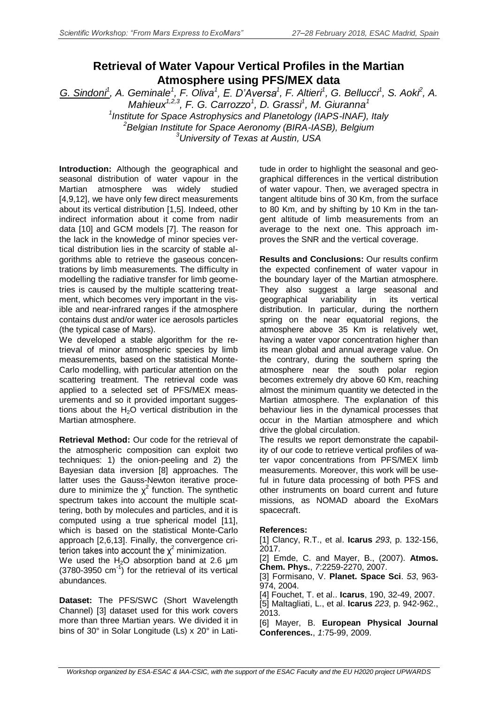## **Retrieval of Water Vapour Vertical Profiles in the Martian Atmosphere using PFS/MEX data**

*G. Sindoni<sup>1</sup> , A. Geminale<sup>1</sup> , F. Oliva<sup>1</sup> <sup>1</sup> , F. Altieri<sup>1</sup> , G. Bellucci<sup>1</sup> , S. Aoki<sup>2</sup> , A. Mahieux1,2,3 , F. G. Carrozzo<sup>1</sup> , D. Grassi<sup>1</sup> , M. Giuranna<sup>1</sup>*

*1 Institute for Space Astrophysics and Planetology (IAPS-INAF), Italy <sup>2</sup>Belgian Institute for Space Aeronomy (BIRA-IASB), Belgium <sup>3</sup>University of Texas at Austin, USA*

**Introduction:** Although the geographical and seasonal distribution of water vapour in the Martian atmosphere was widely studied [4,9,12], we have only few direct measurements about its vertical distribution [1,5]. Indeed, other indirect information about it come from nadir data [10] and GCM models [7]. The reason for the lack in the knowledge of minor species vertical distribution lies in the scarcity of stable algorithms able to retrieve the gaseous concentrations by limb measurements. The difficulty in modelling the radiative transfer for limb geometries is caused by the multiple scattering treatment, which becomes very important in the visible and near-infrared ranges if the atmosphere contains dust and/or water ice aerosols particles (the typical case of Mars).

We developed a stable algorithm for the retrieval of minor atmospheric species by limb measurements, based on the statistical Monte-Carlo modelling, with particular attention on the scattering treatment. The retrieval code was applied to a selected set of PFS/MEX measurements and so it provided important suggestions about the  $H<sub>2</sub>O$  vertical distribution in the Martian atmosphere.

**Retrieval Method:** Our code for the retrieval of the atmospheric composition can exploit two techniques: 1) the onion-peeling and 2) the Bayesian data inversion [8] approaches. The latter uses the Gauss-Newton iterative procedure to minimize the  $\chi^2$  function. The synthetic spectrum takes into account the multiple scattering, both by molecules and particles, and it is computed using a true spherical model [11], which is based on the statistical Monte-Carlo approach [2,6,13]. Finally, the convergence criterion takes into account the  $\chi^2$  minimization.

We used the  $H_2O$  absorption band at 2.6  $\mu$ m  $(3780-3950 \text{ cm}^1)$  for the retrieval of its vertical abundances.

**Dataset:** The PFS/SWC (Short Wavelength Channel) [3] dataset used for this work covers more than three Martian years. We divided it in bins of 30° in Solar Longitude (Ls) x 20° in Latitude in order to highlight the seasonal and geographical differences in the vertical distribution of water vapour. Then, we averaged spectra in tangent altitude bins of 30 Km, from the surface to 80 Km, and by shifting by 10 Km in the tangent altitude of limb measurements from an average to the next one. This approach improves the SNR and the vertical coverage.

**Results and Conclusions:** Our results confirm the expected confinement of water vapour in the boundary layer of the Martian atmosphere. They also suggest a large seasonal and geographical variability in its vertical distribution. In particular, during the northern spring on the near equatorial regions, the atmosphere above 35 Km is relatively wet, having a water vapor concentration higher than its mean global and annual average value. On the contrary, during the southern spring the atmosphere near the south polar region becomes extremely dry above 60 Km, reaching almost the minimum quantity we detected in the Martian atmosphere. The explanation of this behaviour lies in the dynamical processes that occur in the Martian atmosphere and which drive the global circulation.

The results we report demonstrate the capability of our code to retrieve vertical profiles of water vapor concentrations from PFS/MEX limb measurements. Moreover, this work will be useful in future data processing of both PFS and other instruments on board current and future missions, as NOMAD aboard the ExoMars spacecraft.

## **References:**

[1] Clancy, R.T., et al. **Icarus** *293*, p. 132-156, 2017.

[2] Emde, C. and Mayer, B., (2007). **Atmos. Chem. Phys.**, *7*:2259-2270, 2007.

[3] Formisano, V. **Planet. Space Sci**. *53*, 963- 974, 2004.

[4] Fouchet, T. et al.. **Icarus**, 190, 32-49, 2007.

[5] Maltagliati, L., et al. **Icarus** *223*, p. 942-962., 2013.

[6] Mayer, B. **European Physical Journal Conferences.**, *1*:75-99, 2009.